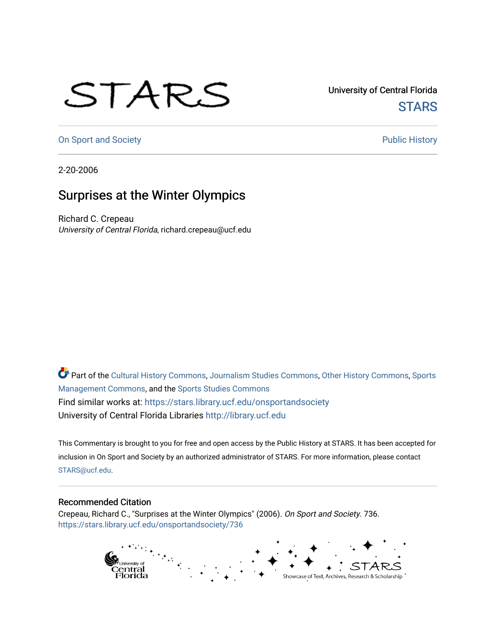## STARS

University of Central Florida **STARS** 

[On Sport and Society](https://stars.library.ucf.edu/onsportandsociety) **Public History** Public History

2-20-2006

## Surprises at the Winter Olympics

Richard C. Crepeau University of Central Florida, richard.crepeau@ucf.edu

Part of the [Cultural History Commons](http://network.bepress.com/hgg/discipline/496?utm_source=stars.library.ucf.edu%2Fonsportandsociety%2F736&utm_medium=PDF&utm_campaign=PDFCoverPages), [Journalism Studies Commons,](http://network.bepress.com/hgg/discipline/333?utm_source=stars.library.ucf.edu%2Fonsportandsociety%2F736&utm_medium=PDF&utm_campaign=PDFCoverPages) [Other History Commons,](http://network.bepress.com/hgg/discipline/508?utm_source=stars.library.ucf.edu%2Fonsportandsociety%2F736&utm_medium=PDF&utm_campaign=PDFCoverPages) [Sports](http://network.bepress.com/hgg/discipline/1193?utm_source=stars.library.ucf.edu%2Fonsportandsociety%2F736&utm_medium=PDF&utm_campaign=PDFCoverPages) [Management Commons](http://network.bepress.com/hgg/discipline/1193?utm_source=stars.library.ucf.edu%2Fonsportandsociety%2F736&utm_medium=PDF&utm_campaign=PDFCoverPages), and the [Sports Studies Commons](http://network.bepress.com/hgg/discipline/1198?utm_source=stars.library.ucf.edu%2Fonsportandsociety%2F736&utm_medium=PDF&utm_campaign=PDFCoverPages) Find similar works at: <https://stars.library.ucf.edu/onsportandsociety> University of Central Florida Libraries [http://library.ucf.edu](http://library.ucf.edu/) 

This Commentary is brought to you for free and open access by the Public History at STARS. It has been accepted for inclusion in On Sport and Society by an authorized administrator of STARS. For more information, please contact [STARS@ucf.edu](mailto:STARS@ucf.edu).

## Recommended Citation

Crepeau, Richard C., "Surprises at the Winter Olympics" (2006). On Sport and Society. 736. [https://stars.library.ucf.edu/onsportandsociety/736](https://stars.library.ucf.edu/onsportandsociety/736?utm_source=stars.library.ucf.edu%2Fonsportandsociety%2F736&utm_medium=PDF&utm_campaign=PDFCoverPages)

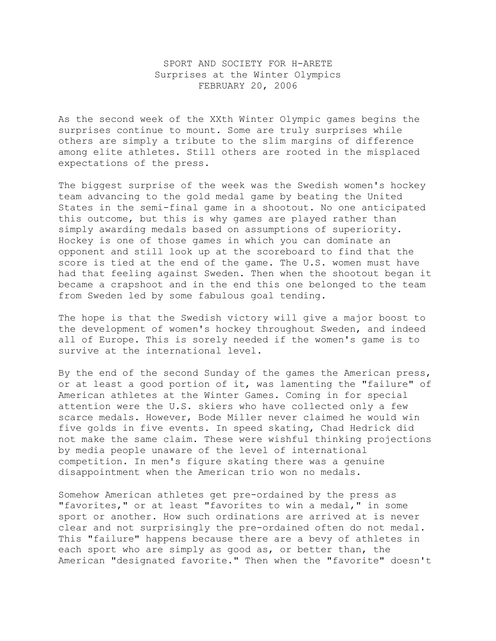## SPORT AND SOCIETY FOR H-ARETE Surprises at the Winter Olympics FEBRUARY 20, 2006

As the second week of the XXth Winter Olympic games begins the surprises continue to mount. Some are truly surprises while others are simply a tribute to the slim margins of difference among elite athletes. Still others are rooted in the misplaced expectations of the press.

The biggest surprise of the week was the Swedish women's hockey team advancing to the gold medal game by beating the United States in the semi-final game in a shootout. No one anticipated this outcome, but this is why games are played rather than simply awarding medals based on assumptions of superiority. Hockey is one of those games in which you can dominate an opponent and still look up at the scoreboard to find that the score is tied at the end of the game. The U.S. women must have had that feeling against Sweden. Then when the shootout began it became a crapshoot and in the end this one belonged to the team from Sweden led by some fabulous goal tending.

The hope is that the Swedish victory will give a major boost to the development of women's hockey throughout Sweden, and indeed all of Europe. This is sorely needed if the women's game is to survive at the international level.

By the end of the second Sunday of the games the American press, or at least a good portion of it, was lamenting the "failure" of American athletes at the Winter Games. Coming in for special attention were the U.S. skiers who have collected only a few scarce medals. However, Bode Miller never claimed he would win five golds in five events. In speed skating, Chad Hedrick did not make the same claim. These were wishful thinking projections by media people unaware of the level of international competition. In men's figure skating there was a genuine disappointment when the American trio won no medals.

Somehow American athletes get pre-ordained by the press as "favorites," or at least "favorites to win a medal," in some sport or another. How such ordinations are arrived at is never clear and not surprisingly the pre-ordained often do not medal. This "failure" happens because there are a bevy of athletes in each sport who are simply as good as, or better than, the American "designated favorite." Then when the "favorite" doesn't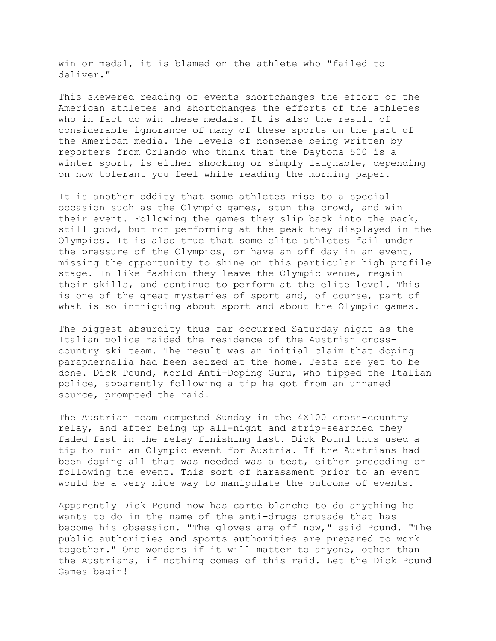win or medal, it is blamed on the athlete who "failed to deliver."

This skewered reading of events shortchanges the effort of the American athletes and shortchanges the efforts of the athletes who in fact do win these medals. It is also the result of considerable ignorance of many of these sports on the part of the American media. The levels of nonsense being written by reporters from Orlando who think that the Daytona 500 is a winter sport, is either shocking or simply laughable, depending on how tolerant you feel while reading the morning paper.

It is another oddity that some athletes rise to a special occasion such as the Olympic games, stun the crowd, and win their event. Following the games they slip back into the pack, still good, but not performing at the peak they displayed in the Olympics. It is also true that some elite athletes fail under the pressure of the Olympics, or have an off day in an event, missing the opportunity to shine on this particular high profile stage. In like fashion they leave the Olympic venue, regain their skills, and continue to perform at the elite level. This is one of the great mysteries of sport and, of course, part of what is so intriguing about sport and about the Olympic games.

The biggest absurdity thus far occurred Saturday night as the Italian police raided the residence of the Austrian crosscountry ski team. The result was an initial claim that doping paraphernalia had been seized at the home. Tests are yet to be done. Dick Pound, World Anti-Doping Guru, who tipped the Italian police, apparently following a tip he got from an unnamed source, prompted the raid.

The Austrian team competed Sunday in the 4X100 cross-country relay, and after being up all-night and strip-searched they faded fast in the relay finishing last. Dick Pound thus used a tip to ruin an Olympic event for Austria. If the Austrians had been doping all that was needed was a test, either preceding or following the event. This sort of harassment prior to an event would be a very nice way to manipulate the outcome of events.

Apparently Dick Pound now has carte blanche to do anything he wants to do in the name of the anti-drugs crusade that has become his obsession. "The gloves are off now," said Pound. "The public authorities and sports authorities are prepared to work together." One wonders if it will matter to anyone, other than the Austrians, if nothing comes of this raid. Let the Dick Pound Games begin!